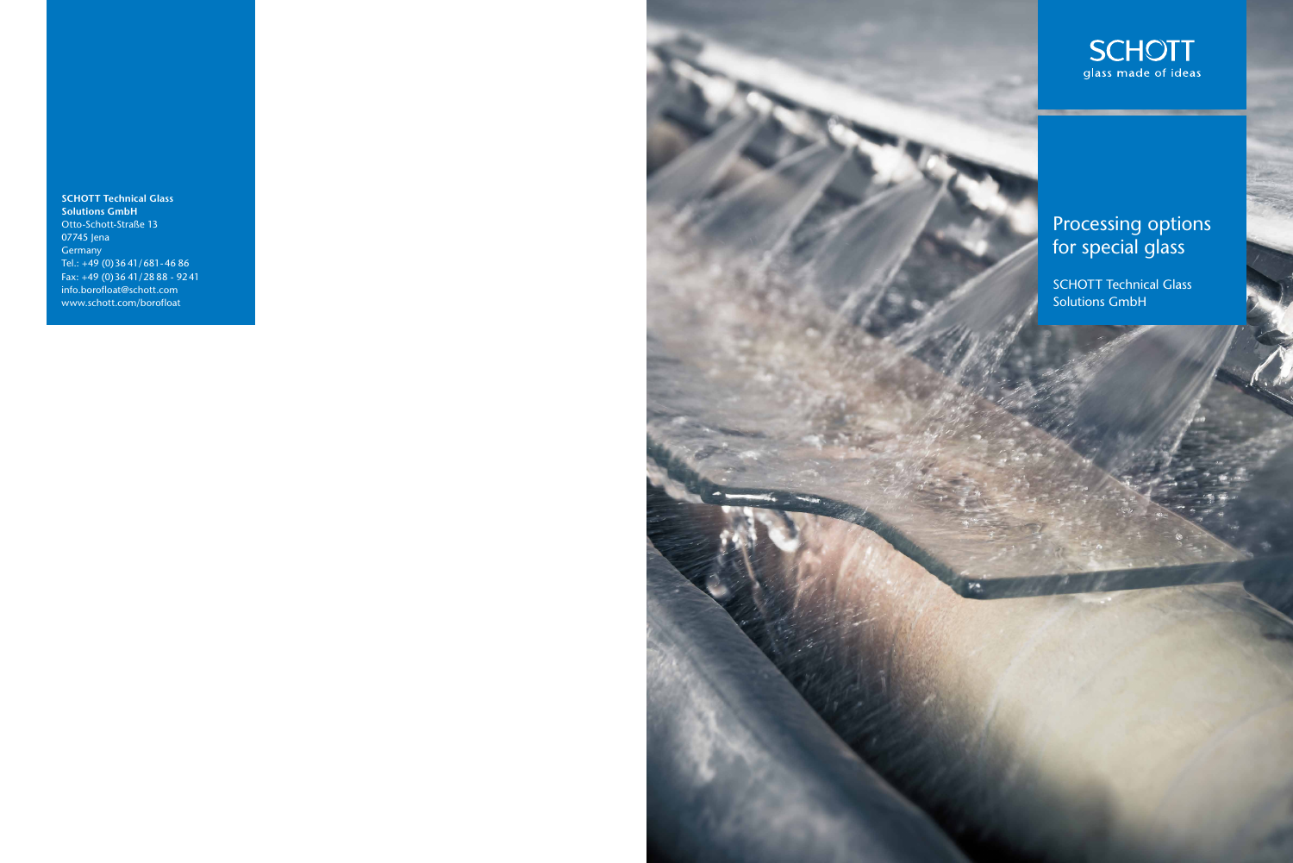**SCHOTT Technical Glass Solutions GmbH** Otto-Schott-Straße 13 07745 Jena Germany Tel.: +49 (0)36 41/681-46 86 Fax: +49 (0)36 41/28 88 - 9241 info.borofloat@schott.com www.schott.com/borofloat





SCHOTT Technical Glass Solutions GmbH

## Processing options for special glass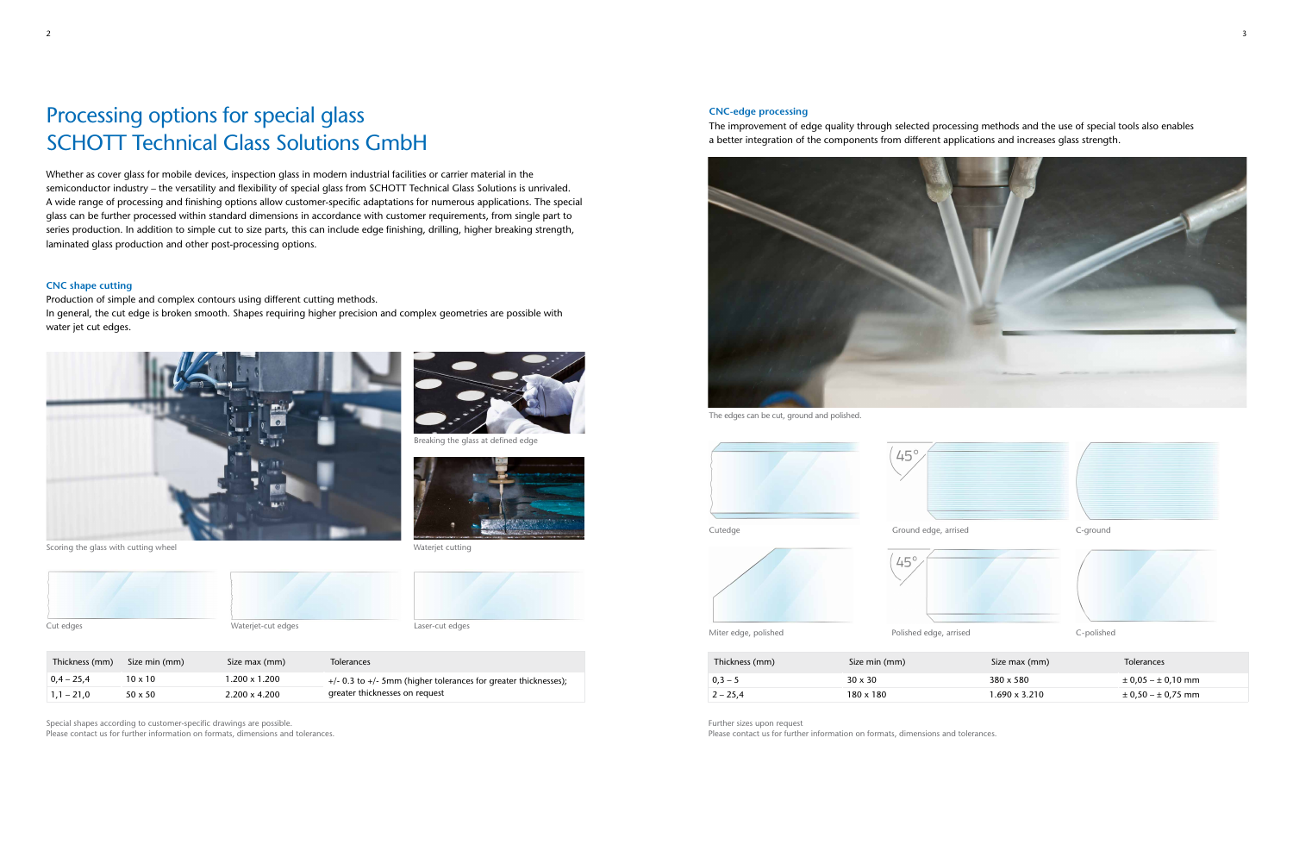# Processing options for special glass SCHOTT Technical Glass Solutions GmbH

Whether as cover glass for mobile devices, inspection glass in modern industrial facilities or carrier material in the semiconductor industry – the versatility and flexibility of special glass from SCHOTT Technical Glass Solutions is unrivaled. A wide range of processing and finishing options allow customer-specific adaptations for numerous applications. The special glass can be further processed within standard dimensions in accordance with customer requirements, from single part to series production. In addition to simple cut to size parts, this can include edge finishing, drilling, higher breaking strength, laminated glass production and other post-processing options.

#### **CNC shape cutting**

Production of simple and complex contours using different cutting methods. In general, the cut edge is broken smooth. Shapes requiring higher precision and complex geometries are possible with water jet cut edges.

Special shapes according to customer-specific drawings are possible. Please contact us for further information on formats, dimensions and tolerances.



Cut edges Waterjet-cut edges Laser-cut edges

Breaking the glass at defined edge





Scoring the glass with cutting wheel



| Thickness (mm) | Size min (mm)  | Size max (mm)        | Tolerances                                                          |
|----------------|----------------|----------------------|---------------------------------------------------------------------|
| $0.4 - 25.4$   | $10 \times 10$ | $1.200 \times 1.200$ | $+/-$ 0.3 to $+/-$ 5mm (higher tolerances for greater thicknesses); |
| $1,1 - 21,0$   | $50 \times 50$ | $2.200 \times 4.200$ | greater thicknesses on request                                      |

Waterjet cutting



#### **CNC-edge processing**

The improvement of edge quality through selected processing methods and the use of special tools also enables a better integration of the components from different applications and increases glass strength.

Further sizes upon request

Please contact us for further information on formats, dimensions and tolerances.





The edges can be cut, ground and polished.

| Thickness (mm) | Size min (mm)  | Size max (mm)    | <b>Tolerances</b>          |
|----------------|----------------|------------------|----------------------------|
| $ 0,3-5 $      | $30 \times 30$ | $380 \times 580$ | $\pm$ 0,05 – $\pm$ 0,10 mm |
| $2 - 25.4$     | 180 x 180      | 1.690 x 3.210    | $\pm$ 0,50 – $\pm$ 0,75 mm |